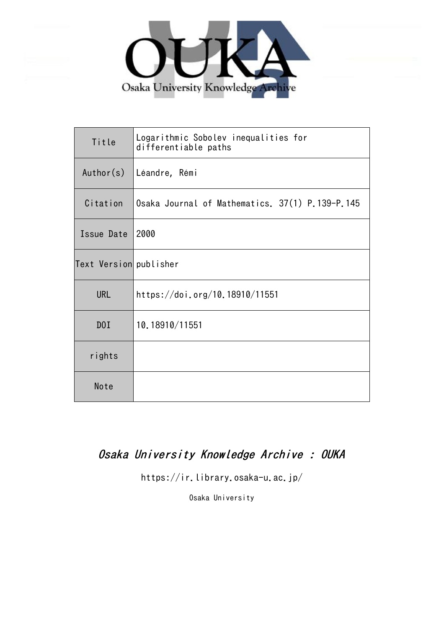

| Title                  | Logarithmic Sobolev inequalities for<br>differentiable paths |
|------------------------|--------------------------------------------------------------|
| Author(s)              | Léandre, Rémi                                                |
| Citation               | Osaka Journal of Mathematics. 37(1) P.139-P.145              |
| Issue Date             | 2000                                                         |
| Text Version publisher |                                                              |
| <b>URL</b>             | https://doi.org/10.18910/11551                               |
| D0I                    | 10.18910/11551                                               |
| rights                 |                                                              |
| Note                   |                                                              |

# Osaka University Knowledge Archive : OUKA

https://ir.library.osaka-u.ac.jp/

Osaka University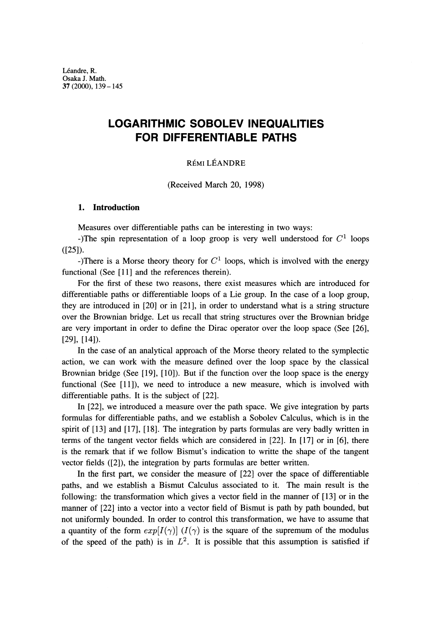Léandre, R. Osaka J. Math. 37(2000),139-145

# **LOGARITHMIC SOBOLEV INEQUALITIES FOR DIFFERENTIABLE PATHS**

#### REMI LEANDRE

(Received March 20, 1998)

#### **1. Introduction**

Measures over differentiable paths can be interesting in two ways:

-)The spin representation of a loop groop is very well understood for  $C^1$  loops  $([25]).$ 

-)There is a Morse theory theory for  $C<sup>1</sup>$  loops, which is involved with the energy functional (See [11] and the references therein).

For the first of these two reasons, there exist measures which are introduced for differentiable paths or differentiable loops of a Lie group. In the case of a loop group, they are introduced in [20] or in [21], in order to understand what is a string structure over the Brownian bridge. Let us recall that string structures over the Brownian bridge are very important in order to define the Dirac operator over the loop space (See [26], [29], [14]).

In the case of an analytical approach of the Morse theory related to the symplectic action, we can work with the measure defined over the loop space by the classical Brownian bridge (See [19], [10]). But if the function over the loop space is the energy functional (See [11]), we need to introduce a new measure, which is involved with differentiable paths. It is the subject of [22].

In [22], we introduced a measure over the path space. We give integration by parts formulas for differentiable paths, and we establish a Sobolev Calculus, which is in the spirit of [13] and [17], [18]. The integration by parts formulas are very badly written in terms of the tangent vector fields which are considered in [22]. In [17] or in [6], there is the remark that if we follow Bismut's indication to writte the shape of the tangent vector fields ([2]), the integration by parts formulas are better written.

In the first part, we consider the measure of [22] over the space of differentiable paths, and we establish a Bismut Calculus associated to it. The main result is the following: the transformation which gives a vector field in the manner of [13] or in the manner of [22] into a vector into a vector field of Bismut is path by path bounded, but not uniformly bounded. In order to control this transformation, we have to assume that a quantity of the form  $exp[I(\gamma)]$  ( $I(\gamma)$ ) is the square of the supremum of the modulus of the speed of the path) is in  $L^2$ . It is possible that this assumption is satisfied if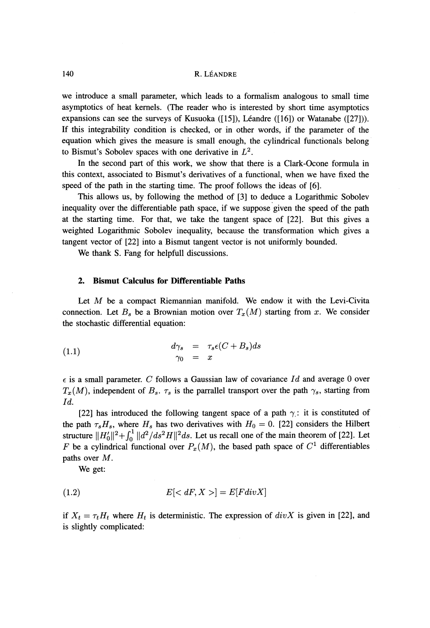#### 140 R. LÉANDRE

we introduce a small parameter, which leads to a formalism analogous to small time asymptotics of heat kernels. (The reader who is interested by short time asymptotics expansions can see the surveys of Kusuoka ([15]), Leandre ([16]) or Watanabe ([27])). If this integrability condition is checked, or in other words, if the parameter of the equation which gives the measure is small enough, the cylindrical functionals belong to Bismut's Sobolev spaces with one derivative in  $L^2$ .

In the second part of this work, we show that there is a Clark-Ocone formula in this context, associated to Bismut's derivatives of a functional, when we have fixed the speed of the path in the starting time. The proof follows the ideas of [6].

This allows us, by following the method of [3] to deduce a Logarithmic Sobolev inequality over the differentiable path space, if we suppose given the speed of the path at the starting time. For that, we take the tangent space of [22]. But this gives a weighted Logarithmic Sobolev inequality, because the transformation which gives a tangent vector of [22] into a Bismut tangent vector is not uniformly bounded.

We thank S. Fang for helpfull discussions.

#### **2. Bismut Calculus for Differentiable Paths**

Let  $M$  be a compact Riemannian manifold. We endow it with the Levi-Civita connection. Let  $B_s$  be a Brownian motion over  $T_x(M)$  starting from x. We consider the stochastic differential equation:

(1.1) 
$$
d\gamma_s = \tau_s \epsilon (C + B_s) ds \n\gamma_0 = x
$$

e is a small parameter. *C* follows a Gaussian law of covariance *Id* and average 0 over  $T_x(M)$ , independent of  $B_s$ .  $\tau_s$  is the parrallel transport over the path  $\gamma_s$ , starting from *Id.*

[22] has introduced the following tangent space of a path  $\gamma$ : it is constituted of the path  $\tau_s H_s$ , where  $H_s$  has two derivatives with  $H_0 = 0$ . [22] considers the Hilbert structure  $\|H_0'\|^2 + \int_0^1 \|d^2/ds^2H\|^2 ds$ . Let us recall one of the main theorem of [22]. Let *F* be a cylindrical functional over  $P_x(M)$ , the based path space of  $C^1$  differentiables paths over M.

We get:

$$
(1.2) \t E[]=E[Fdiv X]
$$

if  $X_t = \tau_t H_t$  where  $H_t$  is deterministic. The expression of  $div X$  is given in [22], and is slightly complicated: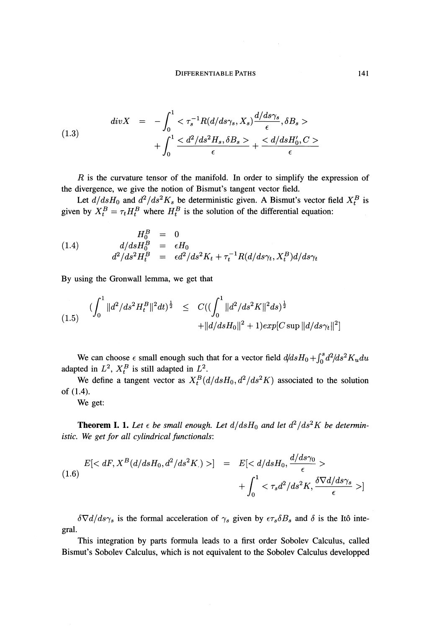(1.3) 
$$
div X = -\int_0^1 \langle \tau_s^{-1} R(d/ds\gamma_s, X_s) \frac{d/ds\gamma_s}{\epsilon}, \delta B_s \rangle + \int_0^1 \frac{\langle d^2/ds^2 H_s, \delta B_s \rangle}{\epsilon} + \frac{\langle d/ds H_0', C \rangle}{\epsilon}
$$

*R* is the curvature tensor of the manifold. In order to simplify the expression of the divergence, we give the notion of Bismut's tangent vector field.

Let  $d/dsH_0$  and  $d^2/ds^2K_s$  be deterministic given. A Bismut's vector field  $X_t^B$  is given by  $X_t^B = \tau_t H_t^B$  where  $H_t^B$  is the solution of the differential equation:

(1.4) 
$$
H_0^B = 0
$$

$$
d/dsH_0^B = \epsilon H_0
$$

$$
d^2/ds^2H_t^B = \epsilon d^2/ds^2K_t + \tau_t^{-1}R(d/ds\gamma_t, X_t^B)d/ds\gamma_t
$$

By using the Gronwall lemma, we get that

$$
(1.5) \quad (\int_0^1 \|d^2/ds^2 H_t^B\|^2 dt)^{\frac{1}{2}} \leq C((\int_0^1 \|d^2/ds^2 K\|^2 ds)^{\frac{1}{2}} + \|d/ds H_0\|^2 + 1)exp[C \sup \|d/ds \gamma_t\|^2]
$$

We can choose  $\epsilon$  small enough such that for a vector field  $d/dsH_0 + \int_0^s d^2/ds^2K_u du$ adapted in  $L^2$ ,  $X_t^B$  is still adapted in  $L^2$ .

We define a tangent vector as  $X_t^B(d/dsH_0, d^2/ds^2K)$  associated to the solution of (1.4).

We get:

**Theorem I. 1.** Let  $\epsilon$  be small enough. Let  $d/dsH_0$  and let  $d^2/ds^2K$  be determin*istic. We get for all cylindrical functionals:*

$$
E[< dF, X^B(d/dsH_0, d^2/ds^2K.)>]=E[< d/dsH_0, \frac{d/ds\gamma_0}{\epsilon}>\\&+ \int_0^1 < \tau_s d^2/ds^2K, \frac{\delta \nabla d/ds\gamma_s}{\epsilon}>]
$$

is the formal acceleration of  $\gamma_s$  given by  $\epsilon \tau_s \delta B_s$  and  $\delta$  is the Itô integral.

This integration by parts formula leads to a first order Sobolev Calculus, called Bismut's Sobolev Calculus, which is not equivalent to the Sobolev Calculus developped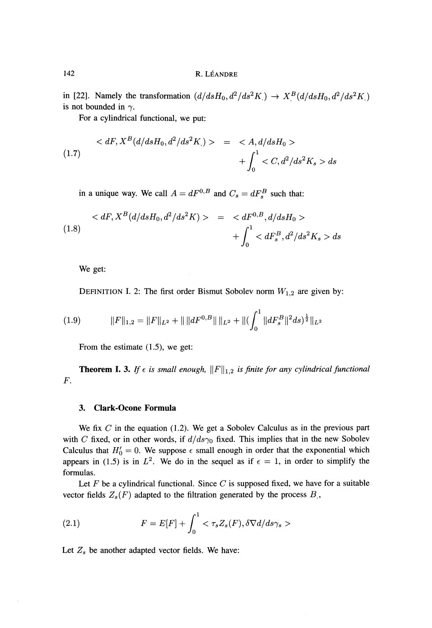## 142 R. LEANDRE

in [22]. Namely the transformation  $(d/dsH_0, d^2/ds^2K) \rightarrow X^B(d/dsH_0, d^2/ds^2K)$ is not bounded in  $\gamma$ .

For a cylindrical functional, we put:

$$
\langle dF, X^B(d/dsH_0, d^2/ds^2K) \rangle = \langle A, d/dsH_0 \rangle
$$
  
(1.7)  

$$
+ \int_0^1 \langle C, d^2/ds^2K_s \rangle ds
$$

in a unique way. We call  $A = dF^{0,B}$  and  $C_s = dF_s^B$  such that:

$$
\langle dF, X^B(d/dsH_0, d^2/ds^2K) \rangle = \langle dF^{0,B}, d/dsH_0 \rangle + \int_0^1 \langle dF_s^B, d^2/ds^2K_s \rangle ds
$$

We get:

DEFINITION I. 2: The first order Bismut Sobolev norm  $W_{1,2}$  are given by:

$$
(1.9) \t\t\t ||F||_{1,2} = ||F||_{L^2} + ||||dF^{0,B}||||_{L^2} + ||(\int_0^1 ||dF_s^B||^2 ds)^{\frac{1}{2}}||_{L^2}
$$

From the estimate (1.5), we get:

**Theorem I. 3.** If  $\epsilon$  is small enough,  $||F||_{1,2}$  is finite for any cylindrical functional *F.*

#### **3. Clark-Ocone Formula**

We fix *C* in the equation (1.2). We get a Sobolev Calculus as in the previous part with *C* fixed, or in other words, if  $d/ds\gamma_0$  fixed. This implies that in the new Sobolev Calculus that  $H'_0 = 0$ . We suppose  $\epsilon$  small enough in order that the exponential which appears in (1.5) is in  $L^2$ . We do in the sequel as if  $\epsilon = 1$ , in order to simplify the formulas.

Let F be a cylindrical functional. Since *C* is supposed fixed, we have for a suitable vector fields  $Z_s(F)$  adapted to the filtration generated by the process  $B_s$ ,

(2.1) 
$$
F = E[F] + \int_0^1 \langle \tau_s Z_s(F), \delta \nabla d/ds \gamma_s \rangle
$$

Let  $Z_s$  be another adapted vector fields. We have: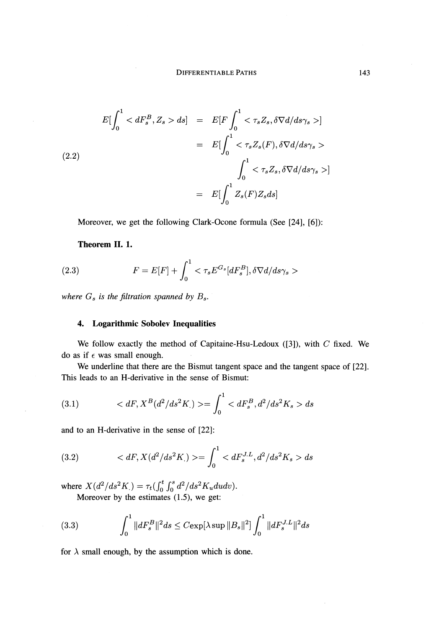$$
E\left[\int_{0}^{1}  ds\right] = E\left[F\int_{0}^{1} <\tau_{s}Z_{s}, \delta\nabla d/ds\gamma_{s}>\right]
$$

$$
= E\left[\int_{0}^{1} <\tau_{s}Z_{s}(F), \delta\nabla d/ds\gamma_{s}>\right]
$$

$$
\int_{0}^{1} <\tau_{s}Z_{s}, \delta\nabla d/ds\gamma_{s}>\right]
$$

$$
= E\left[\int_{0}^{1} Z_{s}(F)Z_{s}ds\right]
$$

Moreover, we get the following Clark-Ocone formula (See [24], [6]):

# **Theorem II. 1.**

(2.3) 
$$
F = E[F] + \int_0^1 \langle \tau_s E^{G_s} [dF_s^B], \delta \nabla d/ds \gamma_s \rangle
$$

where  $G_s$  is the filtration spanned by  $B_s$ .

## **4. Logarithmic Sobolev Inequalities**

We follow exactly the method of Capitaine-Hsu-Ledoux ([3]), with *C* fixed. We do as if *e* was small enough.

We underline that there are the Bismut tangent space and the tangent space of [22]. This leads to an H-derivative in the sense of Bismut:

(3.1) 
$$
\langle dF, X^B(d^2/ds^2K) \rangle = \int_0^1 \langle dF_s^B, d^2/ds^2K_s \rangle ds
$$

and to an H-derivative in the sense of [22]:

(3.2) 
$$
\langle dF, X(d^2/ds^2K) \rangle = \int_0^1 \langle dF_s^{J.L}, d^2/ds^2K_s \rangle ds
$$

where  $X(d^2/ds^2K) = \tau_t \left( \int_0^t \int_0^s d^2/ds^2K_u du dv \right).$ 

Moreover by the estimates (1.5), we get:

(3.3) 
$$
\int_0^1 \|dF_s^B\|^2 ds \leq C \exp[\lambda \sup \|B_s\|^2] \int_0^1 \|dF_s^{J.L}\|^2 ds
$$

for  $\lambda$  small enough, by the assumption which is done.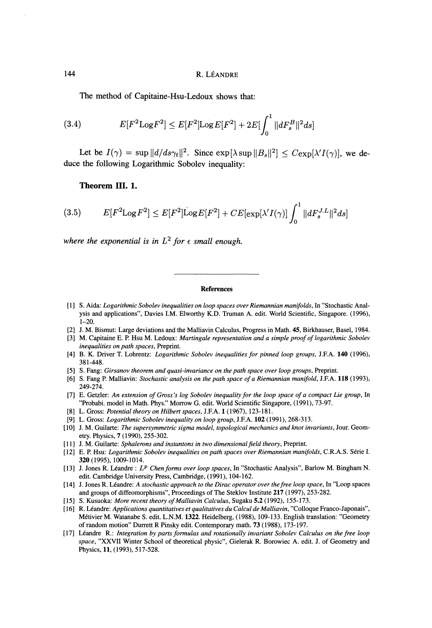The method of Capitaine-Hsu-Ledoux shows that:

(3.4) 
$$
E[F^2 \text{Log } F^2] \leq E[F^2] \text{Log } E[F^2] + 2E[\int_0^1 ||dF_s^B||^2 ds]
$$

Let be  $I(\gamma) = \sup \|d/ds\gamma_t\|^2$ . Since  $\exp[\lambda \sup \|B_s\|^2] \leq C \exp[\lambda'I(\gamma)]$ , we deduce the following Logarithmic Sobolev inequality:

#### **Theorem HI. 1.**

$$
(3.5) \t E[F^2 \text{Log } F^2] \leq E[F^2] \tilde{\text{Log}} E[F^2] + CE[\exp[\lambda'I(\gamma)] \int_0^1 ||dF_s^{J.L}||^2 ds]
$$

where the exponential is in  $L^2$  for  $\epsilon$  small enough.

#### **References**

- [1] S. Aida: *Logarithmic Sobolev inequalities on loop spaces over Riemannian manifolds,* In "Stochastic Analysis and applications", Davies I.M. Elworthy K.D. Truman A. edit. World Scientific, Singapore. (1996), 1-20.
- [2] J. M. Bismut: Large deviations and the Malliavin Calculus, Progress in Math. 45, Birkhauser, Basel, 1984.
- [3] M. Capitaine E. P. Hsu M. Ledoux: *Martingale representation and a simple proof of logarithmic Sobolev inequalities on path spaces,* Preprint.
- [4] B. K. Driver T. Lohrentz: *Logarithmic Sobolev inequalities for pinned loop groups,* J.F.A. 140 (1996), 381-448.
- [5] S. Fang: *Girsanov theorem and quasi-ίnvariance on the path space over loop groups,* Preprint.
- [6] S. Fang P. Malliavin: *Stochastic analysis on the path space of a Riemannian manifold,* J.F.A. 118 (1993), 249-274.
- [7] E. Getzler: *An extension of Gross's log Sobolev inequality for the loop space of a compact Lie group,* In "Probabi. model in Math. Phys." Morrow G. edit. World Scientific Singapore, (1991), 73-97.
- [8] L. Gross: *Potential theory on Hilbert spaces,* J.F.A. 1 (1967), 123-181.
- [9] L. Gross: *Logarithmic Sobolev inequality on loop group,* J.F.A. 102 (1991), 268-313.
- [10] J. M. Guilarte: *The supersymmetric sigma model, topological mechanics and knot invariants,* Jour. Geometry. Physics, 7 (1990), 255-302.
- [11] J. M. Guilarte: *Sphalerons and instantons in two dimensional field theory,* Preprint.
- [12] E. P. Hsu: *Logarithmic Sobolev inequalities on path spaces over Riemannian manifolds,* C.R.A.S. Serie I. 320 (1995), 1009-1014.
- [13] J. Jones R. Leandre : *L<sup>p</sup> Chen forms over loop spaces,* In "Stochastic Analysis", Barlow M. Bingham N. edit. Cambridge University Press, Cambridge, (1991), 104-162.
- [14] J. Jones R. Leandre: *A stochastic approach to the Dirac operator over the free loop space,* In "Loop spaces and groups of diffeomorphisms", Proceedings of The Steklov Institute 217 (1997), 253-282.
- [15] S. Kusuoka: *More recent theory of Malliavin Calculus,* Sugaku 5.2 (1992), 155-173.
- [16] R. Leandre: *Applications quantitatives et qualitatives du Calcul de Malliavin,* "Colloque Franco-Japonais", Metivier M. Watanabe S. edit. L.N.M. 1322. Heidelberg, (1988), 109-133. English translation: "Geometry of random motion" Durrett R Pinsky edit. Contemporary math. 73 (1988), 173-197.
- [17] Leandre R.: *Integration by parts formulas and rotationally invariant Sobolev Calculus on the free loop space,* "XXVII Winter School of theoretical physic", Gielerak R. Borowiec A. edit. J. of Geometry and Physics, 11, (1993), 517-528.